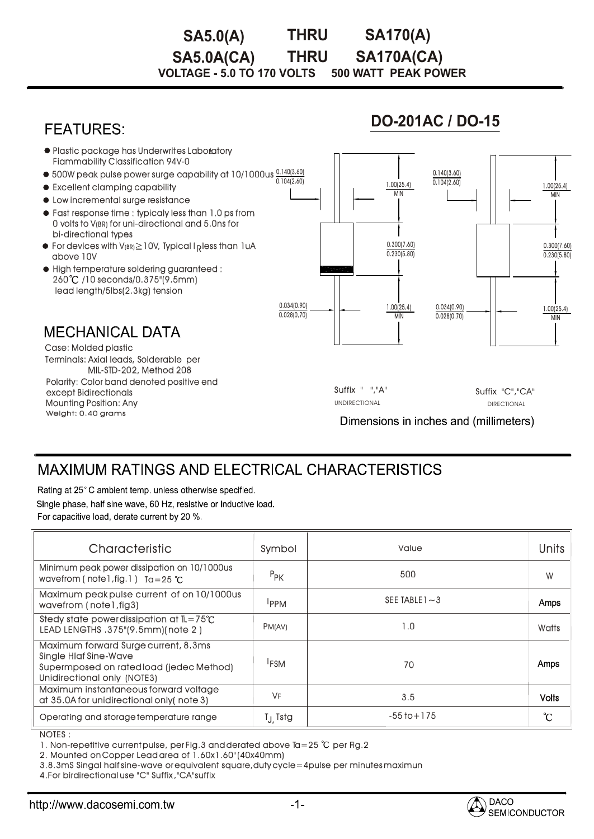#### **THRU VOLTAGE - 5.0 TO 170 VOLTS 500 WATT PEAK POWER SA5.0(A) THRU SA170(A) SA5.0A(CA) SA170A(CA)**

### **FEATURES**

### **DO-201AC / DO-15**



# **MAXIMUM RATINGS AND ELECTRICAL CHARACTERISTICS**

Rating at 25°C ambient temp. unless otherwise specified.

Single phase, half sine wave, 60 Hz, resistive or inductive load. For capacitive load, derate current by 20 %.

| Characteristic                                                                                                                                  | Symbol              | Value             | Units        |
|-------------------------------------------------------------------------------------------------------------------------------------------------|---------------------|-------------------|--------------|
| Minimum peak power dissipation on 10/1000us<br>wavefrom (note l, fig. 1) $Ta = 25$ °C                                                           | $P_{\text{PK}}$     | 500               | W            |
| Maximum peak pulse current of on 10/1000us<br>wavefrom (note1, fig3)                                                                            | <b>IPPM</b>         | SEE TABLE $1 - 3$ | Amps         |
| Stedy state power dissipation at $IL = 75^{\circ}C$<br>LEAD LENGTHS .375"(9.5mm)(note 2)                                                        | PM(AV)              | 1.0               | Watts        |
| Maximum forward Surge current, 8.3ms<br><b>Single Hlaf Sine-Wave</b><br>Supermposed on rated load (jedec Method)<br>Unidirectional only (NOTE3) | <sup>I</sup> FSM    | 70                | Amps         |
| Maximum instantaneous forward voltage<br>at 35.0A for unidirectional only (note 3)                                                              | <b>VF</b>           | 3.5               | <b>Volts</b> |
| Operating and storage temperature range                                                                                                         | T <sub>J</sub> Tstg | $-55$ to $+175$   | °C           |

NOTES : :

1. Non-repetitive current pulse, per Fig.3 and derated above Ta=25  $^{\circ}$ C per Fig.2

2. Mounted on Copper Lead area of 1.60x1.60" (40x40mm)

3.8.3mS Singal half sine-wave or equivalent square,duty cycle=4pulse per minutes maximun

4.For birdirectional use "C" Suffix ,"CA"suffix

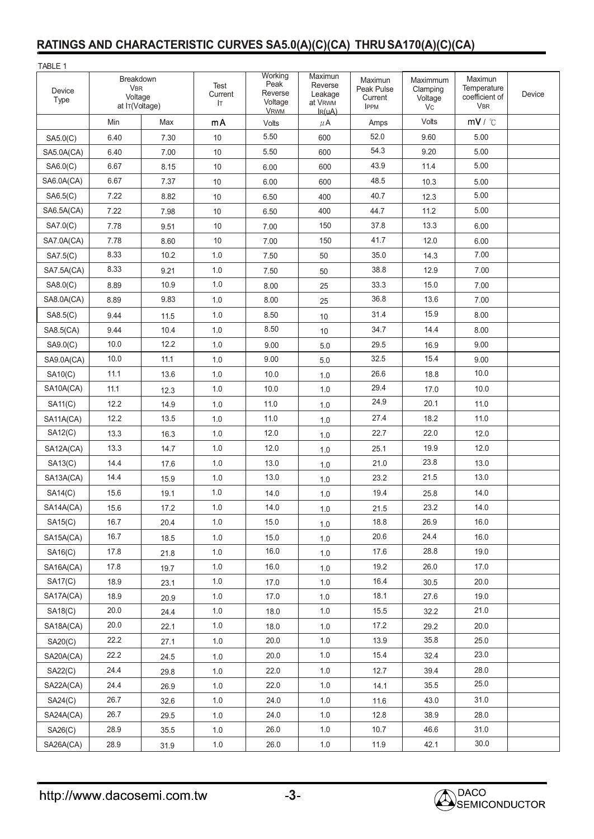## **RATINGS AND CHARACTERISTIC CURVES SA5.0(A)(C)(CA) THRUSA170(A)(C)(CA)**

| TABLE 1        |                                                      |      |                       |                                                      |                                                                   |                                                 |                                              |                                                        |        |
|----------------|------------------------------------------------------|------|-----------------------|------------------------------------------------------|-------------------------------------------------------------------|-------------------------------------------------|----------------------------------------------|--------------------------------------------------------|--------|
| Device<br>Type | Breakdown<br><b>VBR</b><br>Voltage<br>at IT(Voltage) |      | Test<br>Current<br>Iт | Working<br>Peak<br>Reverse<br>Voltage<br><b>VRWM</b> | Maximun<br>Reverse<br>Leakage<br>at V <sub>RWM</sub><br>$I_R(uA)$ | Maximun<br>Peak Pulse<br>Current<br><b>IPPM</b> | Maximmum<br>Clamping<br>Voltage<br><b>Vc</b> | Maximun<br>Temperature<br>coefficient of<br><b>VBR</b> | Device |
|                | Min                                                  | Max  | mA                    | Volts                                                | $\mu$ A                                                           | Amps                                            | Volts                                        | mV / C                                                 |        |
| SAS.0(C)       | 6.40                                                 | 7.30 | 10                    | 5.50                                                 | 600                                                               | 52.0                                            | 9.60                                         | 5.00                                                   |        |
| SA5.0A(CA)     | 6.40                                                 | 7.00 | 10                    | 5.50                                                 | 600                                                               | 54.3                                            | 9.20                                         | 5.00                                                   |        |
| SAG.0(C)       | 6.67                                                 | 8.15 | 10                    | 6.00                                                 | 600                                                               | 43.9                                            | 11.4                                         | 5.00                                                   |        |
| SA6.0A(CA)     | 6.67                                                 | 7.37 | 10                    | 6.00                                                 | 600                                                               | 48.5                                            | 10.3                                         | 5.00                                                   |        |
| SA6.5(C)       | 7.22                                                 | 8.82 | 10                    | 6.50                                                 | 400                                                               | 40.7                                            | 12.3                                         | 5.00                                                   |        |
| SA6.5A(CA)     | 7.22                                                 | 7.98 | 10                    | 6.50                                                 | 400                                                               | 44.7                                            | 11.2                                         | 5.00                                                   |        |
| SA7.0(C)       | 7.78                                                 | 9.51 | 10                    | 7.00                                                 | 150                                                               | 37.8                                            | 13.3                                         | 6.00                                                   |        |
| SA7.0A(CA)     | 7.78                                                 | 8.60 | 10                    | 7.00                                                 | 150                                                               | 41.7                                            | 12.0                                         | 6.00                                                   |        |
| SA7.5(C)       | 8.33                                                 | 10.2 | 1.0                   | 7.50                                                 | 50                                                                | 35.0                                            | 14.3                                         | 7.00                                                   |        |
| SA7.5A(CA)     | 8.33                                                 | 9.21 | 1.0                   | 7.50                                                 | 50                                                                | 38.8                                            | 12.9                                         | 7.00                                                   |        |
| SA8.0(C)       | 8.89                                                 | 10.9 | 1.0                   | 8.00                                                 | 25                                                                | 33.3                                            | 15.0                                         | 7.00                                                   |        |
| SA8.0A(CA)     | 8.89                                                 | 9.83 | 1.0                   | 8.00                                                 | 25                                                                | 36.8                                            | 13.6                                         | 7.00                                                   |        |
| SA8.5(C)       | 9.44                                                 | 11.5 | 1.0                   | 8.50                                                 | 10                                                                | 31.4                                            | 15.9                                         | 8.00                                                   |        |
| SA8.5(CA)      | 9.44                                                 | 10.4 | 1.0                   | 8.50                                                 | 10                                                                | 34.7                                            | 14.4                                         | 8.00                                                   |        |
| SA9.0(C)       | 10.0                                                 | 12.2 | 1.0                   | 9.00                                                 | 5.0                                                               | 29.5                                            | 16.9                                         | 9.00                                                   |        |
| SA9.0A(CA)     | 10.0                                                 | 11.1 | 1.0                   | 9.00                                                 | 5.0                                                               | 32.5                                            | 15.4                                         | 9.00                                                   |        |
| SA10(C)        | 11.1                                                 | 13.6 | 1.0                   | 10.0                                                 | 1.0                                                               | 26.6                                            | 18.8                                         | 10.0                                                   |        |
| SA10A(CA)      | 11.1                                                 | 12.3 | 1.0                   | 10.0                                                 | 1.0                                                               | 29.4                                            | 17.0                                         | 10.0                                                   |        |
| <b>SA11(C)</b> | 12.2                                                 | 14.9 | 1.0                   | 11.0                                                 | 1.0                                                               | 24.9                                            | 20.1                                         | 11.0                                                   |        |
| SA11A(CA)      | 12.2                                                 | 13.5 | 1.0                   | 11.0                                                 | 1.0                                                               | 27.4                                            | 18.2                                         | 11.0                                                   |        |
| <b>SA12(C)</b> | 13.3                                                 | 16.3 | 1.0                   | 12.0                                                 | 1.0                                                               | 22.7                                            | 22.0                                         | 12.0                                                   |        |
| SA12A(CA)      | 13.3                                                 | 14.7 | 1.0                   | 12.0                                                 | 1.0                                                               | 25.1                                            | 19.9                                         | 12.0                                                   |        |
| <b>SA13(C)</b> | 14.4                                                 | 17.6 | 1.0                   | 13.0                                                 | 1.0                                                               | 21.0                                            | 23.8                                         | 13.0                                                   |        |
| SA13A(CA)      | 14.4                                                 | 15.9 | $1.0$                 | 13.0                                                 | 1.0                                                               | 23.2                                            | 21.5                                         | 13.0                                                   |        |
| <b>SA14(C)</b> | 15.6                                                 | 19.1 | 1.0                   | 14.0                                                 | 1.0                                                               | 19.4                                            | 25.8                                         | 14.0                                                   |        |
| SA14A(CA)      | 15.6                                                 | 17.2 | $1.0\,$               | 14.0                                                 | 1.0                                                               | 21.5                                            | 23.2                                         | 14.0                                                   |        |
| SA15(C)        | 16.7                                                 | 20.4 | 1.0                   | 15.0                                                 | 1.0                                                               | 18.8                                            | 26.9                                         | 16.0                                                   |        |
| SA15A(CA)      | 16.7                                                 | 18.5 | 1.0                   | 15.0                                                 | 1.0                                                               | 20.6                                            | 24.4                                         | 16.0                                                   |        |
| SA16(C)        | 17.8                                                 | 21.8 | 1.0                   | 16.0                                                 | 1.0                                                               | 17.6                                            | 28.8                                         | 19.0                                                   |        |
| SA16A(CA)      | 17.8                                                 | 19.7 | 1.0                   | 16.0                                                 | 1.0                                                               | 19.2                                            | 26.0                                         | 17.0                                                   |        |
| <b>SA17(C)</b> | 18.9                                                 | 23.1 | 1.0                   | 17.0                                                 | 1.0                                                               | 16.4                                            | 30.5                                         | 20.0                                                   |        |
| SA17A(CA)      | 18.9                                                 | 20.9 | $1.0\,$               | 17.0                                                 | 1.0                                                               | 18.1                                            | 27.6                                         | 19.0                                                   |        |
| SA18(C)        | 20.0                                                 | 24.4 | 1.0                   | 18.0                                                 | 1.0                                                               | 15.5                                            | 32.2                                         | 21.0                                                   |        |
| SA18A(CA)      | 20.0                                                 | 22.1 | 1.0                   | 18.0                                                 | 1.0                                                               | 17.2                                            | 29.2                                         | 20.0                                                   |        |
| SA20(C)        | 22.2                                                 | 27.1 | 1.0                   | 20.0                                                 | 1.0                                                               | 13.9                                            | 35.8                                         | 25.0                                                   |        |
| SA20A(CA)      | 22.2                                                 | 24.5 | 1.0                   | 20.0                                                 | 1.0                                                               | 15.4                                            | 32.4                                         | 23.0                                                   |        |
| SA22(C)        | 24.4                                                 | 29.8 | 1.0                   | 22.0                                                 | 1.0                                                               | 12.7                                            | 39.4                                         | 28.0                                                   |        |
| SA22A(CA)      | 24.4                                                 | 26.9 | 1.0                   | 22.0                                                 | 1.0                                                               | 14.1                                            | 35.5                                         | 25.0                                                   |        |
| SA24(C)        | 26.7                                                 | 32.6 | 1.0                   | 24.0                                                 | 1.0                                                               | 11.6                                            | 43.0                                         | 31.0                                                   |        |
| SA24A(CA)      | 26.7                                                 | 29.5 | 1.0                   | 24.0                                                 | 1.0                                                               | 12.8                                            | 38.9                                         | 28.0                                                   |        |
| SA26(C)        | 28.9                                                 | 35.5 | 1.0                   | 26.0                                                 | 1.0                                                               | 10.7                                            | 46.6                                         | 31.0                                                   |        |
| SA26A(CA)      | 28.9                                                 | 31.9 | $1.0\,$               | 26.0                                                 | 1.0                                                               | 11.9                                            | 42.1                                         | 30.0                                                   |        |

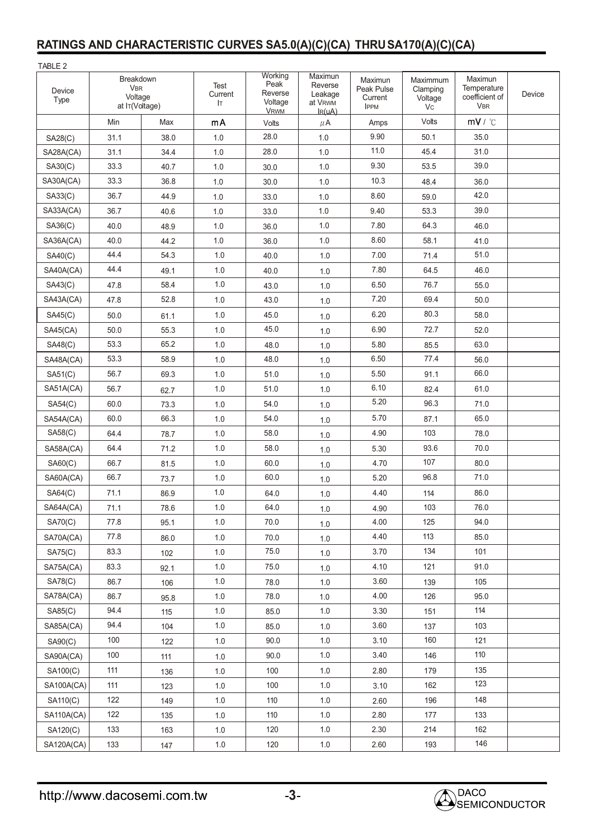## **RATINGS AND CHARACTERISTIC CURVES SA5.0(A)(C)(CA) THRUSA170(A)(C)(CA)**

| TABLE 2           |                                                      |      |                       |                                                      |                                                       |                                                 |                                       |                                                        |        |
|-------------------|------------------------------------------------------|------|-----------------------|------------------------------------------------------|-------------------------------------------------------|-------------------------------------------------|---------------------------------------|--------------------------------------------------------|--------|
| Device<br>Type    | Breakdown<br><b>VBR</b><br>Voltage<br>at IT(Voltage) |      | Test<br>Current<br>Iт | Working<br>Peak<br>Reverse<br>Voltage<br><b>VRWM</b> | Maximun<br>Reverse<br>Leakage<br>at VRWM<br>$I_R(uA)$ | Maximun<br>Peak Pulse<br>Current<br><b>IPPM</b> | Maximmum<br>Clamping<br>Voltage<br>Vc | Maximun<br>Temperature<br>coefficient of<br><b>VBR</b> | Device |
|                   | Min                                                  | Max  | mA                    | Volts                                                | $\mu$ A                                               | Amps                                            | Volts                                 | mV / C                                                 |        |
| SA28(C)           | 31.1                                                 | 38.0 | 1.0                   | 28.0                                                 | 1.0                                                   | 9.90                                            | 50.1                                  | 35.0                                                   |        |
| SA28A(CA)         | 31.1                                                 | 34.4 | 1.0                   | 28.0                                                 | 1.0                                                   | 11.0                                            | 45.4                                  | 31.0                                                   |        |
| SA30(C)           | 33.3                                                 | 40.7 | 1.0                   | 30.0                                                 | 1.0                                                   | 9.30                                            | 53.5                                  | 39.0                                                   |        |
| SA30A(CA)         | 33.3                                                 | 36.8 | 1.0                   | 30.0                                                 | 1.0                                                   | 10.3                                            | 48.4                                  | 36.0                                                   |        |
| <b>SA33(C)</b>    | 36.7                                                 | 44.9 | 1.0                   | 33.0                                                 | 1.0                                                   | 8.60                                            | 59.0                                  | 42.0                                                   |        |
| SA33A(CA)         | 36.7                                                 | 40.6 | 1.0                   | 33.0                                                 | 1.0                                                   | 9.40                                            | 53.3                                  | 39.0                                                   |        |
| SA36(C)           | 40.0                                                 | 48.9 | 1.0                   | 36.0                                                 | 1.0                                                   | 7.80                                            | 64.3                                  | 46.0                                                   |        |
| SA36A(CA)         | 40.0                                                 | 44.2 | 1.0                   | 36.0                                                 | 1.0                                                   | 8.60                                            | 58.1                                  | 41.0                                                   |        |
| SA40(C)           | 44.4                                                 | 54.3 | 1.0                   | 40.0                                                 | 1.0                                                   | 7.00                                            | 71.4                                  | 51.0                                                   |        |
| SA40A(CA)         | 44.4                                                 | 49.1 | 1.0                   | 40.0                                                 | 1.0                                                   | 7.80                                            | 64.5                                  | 46.0                                                   |        |
| SA43(C)           | 47.8                                                 | 58.4 | 1.0                   | 43.0                                                 | 1.0                                                   | 6.50                                            | 76.7                                  | 55.0                                                   |        |
| SA43A(CA)         | 47.8                                                 | 52.8 | 1.0                   | 43.0                                                 | 1.0                                                   | 7.20                                            | 69.4                                  | 50.0                                                   |        |
| <b>SA45(C)</b>    | 50.0                                                 | 61.1 | 1.0                   | 45.0                                                 | 1.0                                                   | 6.20                                            | 80.3                                  | 58.0                                                   |        |
| <b>SA45(CA)</b>   | 50.0                                                 | 55.3 | 1.0                   | 45.0                                                 | 1.0                                                   | 6.90                                            | 72.7                                  | 52.0                                                   |        |
| SA48(C)           | 53.3                                                 | 65.2 | 1.0                   | 48.0                                                 | 1.0                                                   | 5.80                                            | 85.5                                  | 63.0                                                   |        |
| SA48A(CA)         | 53.3                                                 | 58.9 | 1.0                   | 48.0                                                 | 1.0                                                   | 6.50                                            | 77.4                                  | 56.0                                                   |        |
| SA51(C)           | 56.7                                                 | 69.3 | 1.0                   | 51.0                                                 | 1.0                                                   | 5.50                                            | 91.1                                  | 66.0                                                   |        |
| SA51A(CA)         | 56.7                                                 | 62.7 | 1.0                   | 51.0                                                 | 1.0                                                   | 6.10                                            | 82.4                                  | 61.0                                                   |        |
| <b>SA54(C)</b>    | 60.0                                                 | 73.3 | 1.0                   | 54.0                                                 | 1.0                                                   | 5.20                                            | 96.3                                  | 71.0                                                   |        |
| SA54A(CA)         | 60.0                                                 | 66.3 | 1.0                   | 54.0                                                 | 1.0                                                   | 5.70                                            | 87.1                                  | 65.0                                                   |        |
| SA58(C)           | 64.4                                                 | 78.7 | 1.0                   | 58.0                                                 | 1.0                                                   | 4.90                                            | 103                                   | 78.0                                                   |        |
| SA58A(CA)         | 64.4                                                 | 71.2 | 1.0                   | 58.0                                                 | 1.0                                                   | 5.30                                            | 93.6                                  | 70.0                                                   |        |
| SA60(C)           | 66.7                                                 | 81.5 | 1.0                   | 60.0                                                 | 1.0                                                   | 4.70                                            | 107                                   | 80.0                                                   |        |
| SA60A(CA)         | 66.7                                                 | 73.7 | 1.0                   | 60.0                                                 | 1.0                                                   | 5.20                                            | 96.8                                  | 71.0                                                   |        |
| SA64(C)           | 71.1                                                 | 86.9 | 1.0                   | 64.0                                                 | 1.0                                                   | 4.40                                            | 114                                   | 86.0                                                   |        |
| SA64A(CA)         | 71.1                                                 | 78.6 | 1.0                   | 64.0                                                 | 1.0                                                   | 4.90                                            | 103                                   | 76.0                                                   |        |
| SA70(C)           | 77.8                                                 | 95.1 | 1.0                   | 70.0                                                 | $1.0\,$                                               | 4.00                                            | 125                                   | 94.0                                                   |        |
| SA70A(CA)         | 77.8                                                 | 86.0 | 1.0                   | 70.0                                                 | 1.0                                                   | 4.40                                            | 113                                   | 85.0                                                   |        |
| SA75(C)           | 83.3                                                 | 102  | 1.0                   | 75.0                                                 | 1.0                                                   | 3.70                                            | 134                                   | 101                                                    |        |
| SA75A(CA)         | 83.3                                                 | 92.1 | 1.0                   | 75.0                                                 | 1.0                                                   | 4.10                                            | 121                                   | 91.0                                                   |        |
| SA78(C)           | 86.7                                                 | 106  | 1.0                   | 78.0                                                 | 1.0                                                   | 3.60                                            | 139                                   | 105                                                    |        |
| SA78A(CA)         | 86.7                                                 | 95.8 | 1.0                   | 78.0                                                 | 1.0                                                   | 4.00                                            | 126                                   | 95.0                                                   |        |
| SA85(C)           | 94.4                                                 | 115  | 1.0                   | 85.0                                                 | 1.0                                                   | 3.30                                            | 151                                   | 114                                                    |        |
| SA85A(CA)         | 94.4                                                 | 104  | 1.0                   | 85.0                                                 | 1.0                                                   | 3.60                                            | 137                                   | 103                                                    |        |
| SA90(C)           | 100                                                  | 122  | 1.0                   | 90.0                                                 | 1.0                                                   | 3.10                                            | 160                                   | 121                                                    |        |
| SA90A(CA)         | 100                                                  | 111  | 1.0                   | 90.0                                                 | 1.0                                                   | 3.40                                            | 146                                   | 110                                                    |        |
| SA100(C)          | 111                                                  | 136  | 1.0                   | 100                                                  | 1.0                                                   | 2.80                                            | 179                                   | 135                                                    |        |
| <b>SA100A(CA)</b> | 111                                                  | 123  | 1.0                   | 100                                                  | 1.0                                                   | 3.10                                            | 162                                   | 123                                                    |        |
| SA110(C)          | 122                                                  | 149  | 1.0                   | 110                                                  | 1.0                                                   | 2.60                                            | 196                                   | 148                                                    |        |
| <b>SA110A(CA)</b> | 122                                                  | 135  | 1.0                   | 110                                                  | 1.0                                                   | 2.80                                            | 177                                   | 133                                                    |        |
| SA120(C)          | 133                                                  | 163  | 1.0                   | 120                                                  | 1.0                                                   | 2.30                                            | 214                                   | 162                                                    |        |
| SA120A(CA)        | 133                                                  | 147  | $1.0\,$               | 120                                                  | $1.0\,$                                               | 2.60                                            | 193                                   | 146                                                    |        |

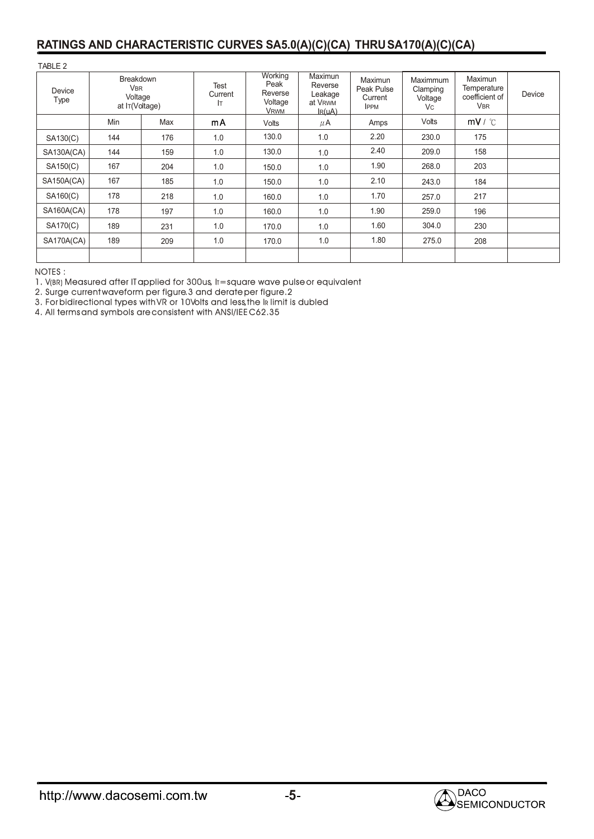#### **RATINGS AND CHARACTERISTIC CURVES SA5.0(A)(C)(CA) THRUSA170(A)(C)(CA)**

TABLE 2

| Device<br>Type    | <b>Breakdown</b><br><b>V<sub>BR</sub></b><br>Voltage<br>at IT(Voltage) |     | Test<br>Current<br>lт | Working<br>Peak<br>Reverse<br>Voltage<br><b>VRWM</b> | Maximun<br>Reverse<br>Leakage<br>at V <sub>RWM</sub><br>$I_R(uA)$ | Maximun<br>Peak Pulse<br>Current<br><b>IPPM</b> | Maximmum<br>Clamping<br>Voltage<br><b>Vc</b> | Maximun<br>Temperature<br>coefficient of<br><b>VBR</b> | Device |
|-------------------|------------------------------------------------------------------------|-----|-----------------------|------------------------------------------------------|-------------------------------------------------------------------|-------------------------------------------------|----------------------------------------------|--------------------------------------------------------|--------|
|                   | Min                                                                    | Max | mA                    | Volts                                                | $\mu$ A                                                           | Amps                                            | Volts                                        | mV / C                                                 |        |
| SA130(C)          | 144                                                                    | 176 | 1.0                   | 130.0                                                | 1.0                                                               | 2.20                                            | 230.0                                        | 175                                                    |        |
| <b>SA130A(CA)</b> | 144                                                                    | 159 | 1.0                   | 130.0                                                | 1.0                                                               | 2.40                                            | 209.0                                        | 158                                                    |        |
| SA150(C)          | 167                                                                    | 204 | 1.0                   | 150.0                                                | 1.0                                                               | 1.90                                            | 268.0                                        | 203                                                    |        |
| SA150A(CA)        | 167                                                                    | 185 | 1.0                   | 150.0                                                | 1.0                                                               | 2.10                                            | 243.0                                        | 184                                                    |        |
| SA160(C)          | 178                                                                    | 218 | 1.0                   | 160.0                                                | 1.0                                                               | 1.70                                            | 257.0                                        | 217                                                    |        |
| <b>SA160A(CA)</b> | 178                                                                    | 197 | 1.0                   | 160.0                                                | 1.0                                                               | 1.90                                            | 259.0                                        | 196                                                    |        |
| SA170(C)          | 189                                                                    | 231 | 1.0                   | 170.0                                                | 1.0                                                               | 1.60                                            | 304.0                                        | 230                                                    |        |
| SA170A(CA)        | 189                                                                    | 209 | 1.0                   | 170.0                                                | 1.0                                                               | 1.80                                            | 275.0                                        | 208                                                    |        |
|                   |                                                                        |     |                       |                                                      |                                                                   |                                                 |                                              |                                                        |        |

NOTES : :

 $1.$  V(BR) Measured after IT applied for 300us,  $\text{lr}$  = square wave pulse or equivalent

2. Surge current waveform per figure.3 and derate per figure.2 I

3. For bidirectional types with VR or 10Volts and less,the IR limit is dubled

4. All terms and symbols are consistent with ANSI/IEE C62.35